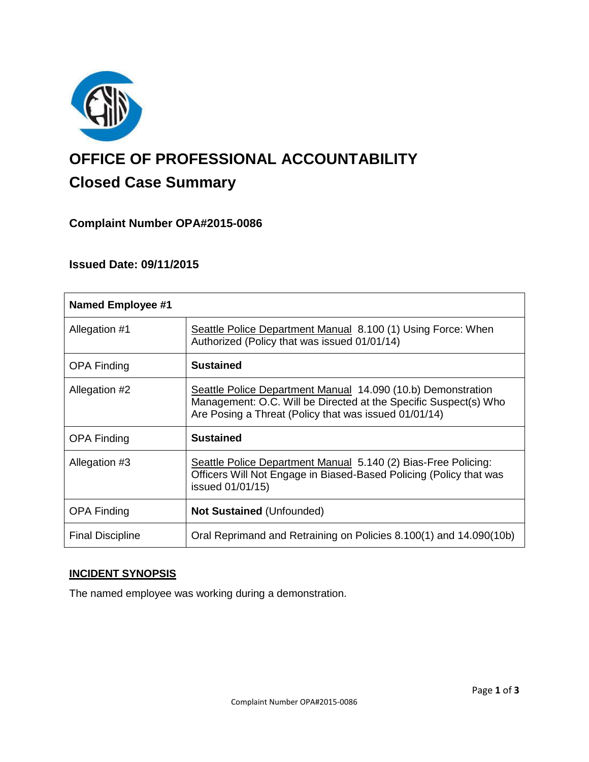

# **OFFICE OF PROFESSIONAL ACCOUNTABILITY Closed Case Summary**

# **Complaint Number OPA#2015-0086**

# **Issued Date: 09/11/2015**

| <b>Named Employee #1</b> |                                                                                                                                                                                           |
|--------------------------|-------------------------------------------------------------------------------------------------------------------------------------------------------------------------------------------|
| Allegation #1            | Seattle Police Department Manual 8.100 (1) Using Force: When<br>Authorized (Policy that was issued 01/01/14)                                                                              |
| <b>OPA Finding</b>       | <b>Sustained</b>                                                                                                                                                                          |
| Allegation #2            | Seattle Police Department Manual 14.090 (10.b) Demonstration<br>Management: O.C. Will be Directed at the Specific Suspect(s) Who<br>Are Posing a Threat (Policy that was issued 01/01/14) |
| <b>OPA Finding</b>       | <b>Sustained</b>                                                                                                                                                                          |
| Allegation #3            | Seattle Police Department Manual 5.140 (2) Bias-Free Policing:<br>Officers Will Not Engage in Biased-Based Policing (Policy that was<br>issued 01/01/15)                                  |
| <b>OPA Finding</b>       | <b>Not Sustained (Unfounded)</b>                                                                                                                                                          |
| <b>Final Discipline</b>  | Oral Reprimand and Retraining on Policies 8.100(1) and 14.090(10b)                                                                                                                        |

# **INCIDENT SYNOPSIS**

The named employee was working during a demonstration.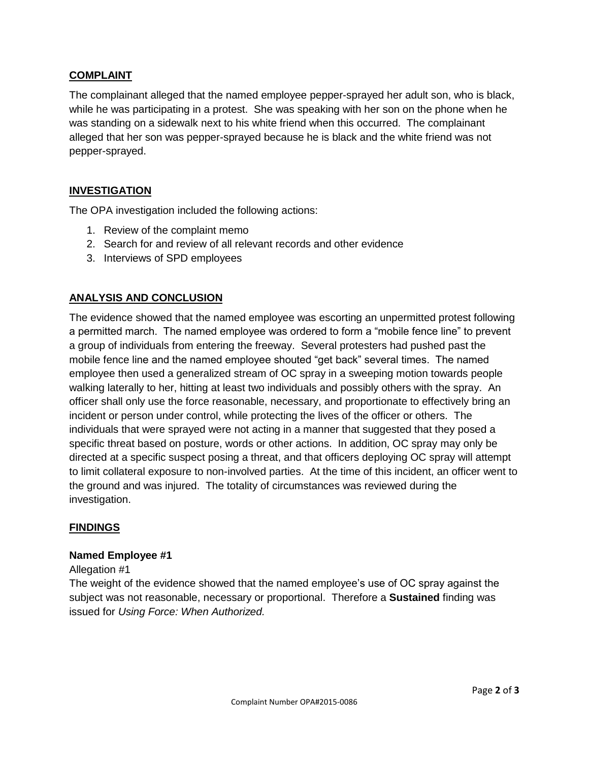## **COMPLAINT**

The complainant alleged that the named employee pepper-sprayed her adult son, who is black, while he was participating in a protest. She was speaking with her son on the phone when he was standing on a sidewalk next to his white friend when this occurred. The complainant alleged that her son was pepper-sprayed because he is black and the white friend was not pepper-sprayed.

## **INVESTIGATION**

The OPA investigation included the following actions:

- 1. Review of the complaint memo
- 2. Search for and review of all relevant records and other evidence
- 3. Interviews of SPD employees

# **ANALYSIS AND CONCLUSION**

The evidence showed that the named employee was escorting an unpermitted protest following a permitted march. The named employee was ordered to form a "mobile fence line" to prevent a group of individuals from entering the freeway. Several protesters had pushed past the mobile fence line and the named employee shouted "get back" several times. The named employee then used a generalized stream of OC spray in a sweeping motion towards people walking laterally to her, hitting at least two individuals and possibly others with the spray. An officer shall only use the force reasonable, necessary, and proportionate to effectively bring an incident or person under control, while protecting the lives of the officer or others. The individuals that were sprayed were not acting in a manner that suggested that they posed a specific threat based on posture, words or other actions. In addition, OC spray may only be directed at a specific suspect posing a threat, and that officers deploying OC spray will attempt to limit collateral exposure to non-involved parties. At the time of this incident, an officer went to the ground and was injured. The totality of circumstances was reviewed during the investigation.

### **FINDINGS**

#### **Named Employee #1**

#### Allegation #1

The weight of the evidence showed that the named employee's use of OC spray against the subject was not reasonable, necessary or proportional. Therefore a **Sustained** finding was issued for *Using Force: When Authorized.*